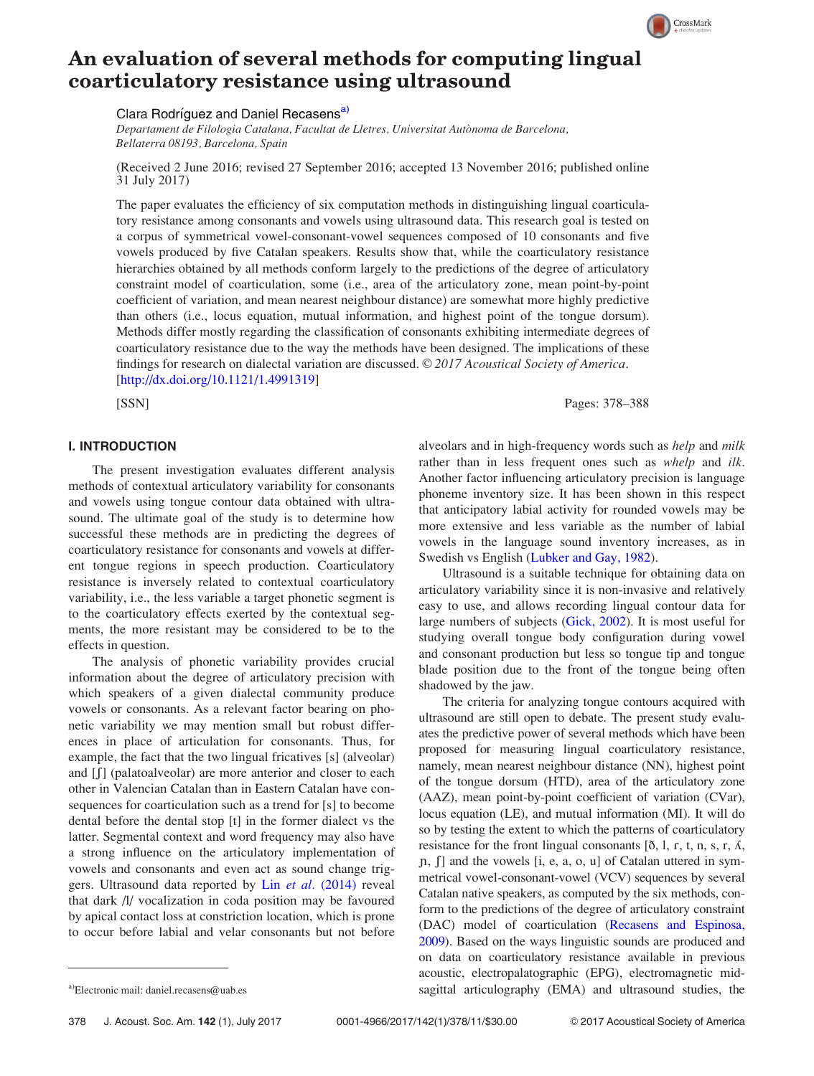# An evaluation of several methods for computing lingual coarticulatory resistance using ultrasound

Clara Rodríguez and Daniel Recasens<sup>a)</sup>

Departament de Filologia Catalana, Facultat de Lletres, Universitat Autònoma de Barcelona, Bellaterra 08193, Barcelona, Spain

(Received 2 June 2016; revised 27 September 2016; accepted 13 November 2016; published online 31 July 2017)

The paper evaluates the efficiency of six computation methods in distinguishing lingual coarticulatory resistance among consonants and vowels using ultrasound data. This research goal is tested on a corpus of symmetrical vowel-consonant-vowel sequences composed of 10 consonants and five vowels produced by five Catalan speakers. Results show that, while the coarticulatory resistance hierarchies obtained by all methods conform largely to the predictions of the degree of articulatory constraint model of coarticulation, some (i.e., area of the articulatory zone, mean point-by-point coefficient of variation, and mean nearest neighbour distance) are somewhat more highly predictive than others (i.e., locus equation, mutual information, and highest point of the tongue dorsum). Methods differ mostly regarding the classification of consonants exhibiting intermediate degrees of coarticulatory resistance due to the way the methods have been designed. The implications of these findings for research on dialectal variation are discussed.  $\oslash$  2017 Acoustical Society of America. [[http://dx.doi.org/10.1121/1.4991319\]](http://dx.doi.org/10.1121/1.4991319)

# I. INTRODUCTION

The present investigation evaluates different analysis methods of contextual articulatory variability for consonants and vowels using tongue contour data obtained with ultrasound. The ultimate goal of the study is to determine how successful these methods are in predicting the degrees of coarticulatory resistance for consonants and vowels at different tongue regions in speech production. Coarticulatory resistance is inversely related to contextual coarticulatory variability, i.e., the less variable a target phonetic segment is to the coarticulatory effects exerted by the contextual segments, the more resistant may be considered to be to the effects in question.

The analysis of phonetic variability provides crucial information about the degree of articulatory precision with which speakers of a given dialectal community produce vowels or consonants. As a relevant factor bearing on phonetic variability we may mention small but robust differences in place of articulation for consonants. Thus, for example, the fact that the two lingual fricatives [s] (alveolar) and  $\iiint$  (palatoalveolar) are more anterior and closer to each other in Valencian Catalan than in Eastern Catalan have consequences for coarticulation such as a trend for [s] to become dental before the dental stop [t] in the former dialect vs the latter. Segmental context and word frequency may also have a strong influence on the articulatory implementation of vowels and consonants and even act as sound change triggers. Ultrasound data reported by Lin et al. [\(2014\)](#page-10-0) reveal that dark /l/ vocalization in coda position may be favoured by apical contact loss at constriction location, which is prone to occur before labial and velar consonants but not before

alveolars and in high-frequency words such as help and milk rather than in less frequent ones such as *whelp* and *ilk*. Another factor influencing articulatory precision is language phoneme inventory size. It has been shown in this respect that anticipatory labial activity for rounded vowels may be more extensive and less variable as the number of labial vowels in the language sound inventory increases, as in Swedish vs English [\(Lubker and Gay, 1982](#page-10-0)).

Ultrasound is a suitable technique for obtaining data on articulatory variability since it is non-invasive and relatively easy to use, and allows recording lingual contour data for large numbers of subjects ([Gick, 2002\)](#page-10-0). It is most useful for studying overall tongue body configuration during vowel and consonant production but less so tongue tip and tongue blade position due to the front of the tongue being often shadowed by the jaw.

The criteria for analyzing tongue contours acquired with ultrasound are still open to debate. The present study evaluates the predictive power of several methods which have been proposed for measuring lingual coarticulatory resistance, namely, mean nearest neighbour distance (NN), highest point of the tongue dorsum (HTD), area of the articulatory zone (AAZ), mean point-by-point coefficient of variation (CVar), locus equation (LE), and mutual information (MI). It will do so by testing the extent to which the patterns of coarticulatory resistance for the front lingual consonants  $[\delta, \delta]$ , r, t, n, s, r,  $\Lambda$ ,  $[n, \int]$  and the vowels [i, e, a, o, u] of Catalan uttered in symmetrical vowel-consonant-vowel (VCV) sequences by several Catalan native speakers, as computed by the six methods, conform to the predictions of the degree of articulatory constraint (DAC) model of coarticulation ([Recasens and Espinosa,](#page-10-0) [2009\)](#page-10-0). Based on the ways linguistic sounds are produced and on data on coarticulatory resistance available in previous acoustic, electropalatographic (EPG), electromagnetic mida)Electronic mail: [daniel.recasens@uab.es](mailto:daniel.recasens@uab.es) sagittal articulography (EMA) and ultrasound studies, the



CrossMark

[SSN] Pages: 378–388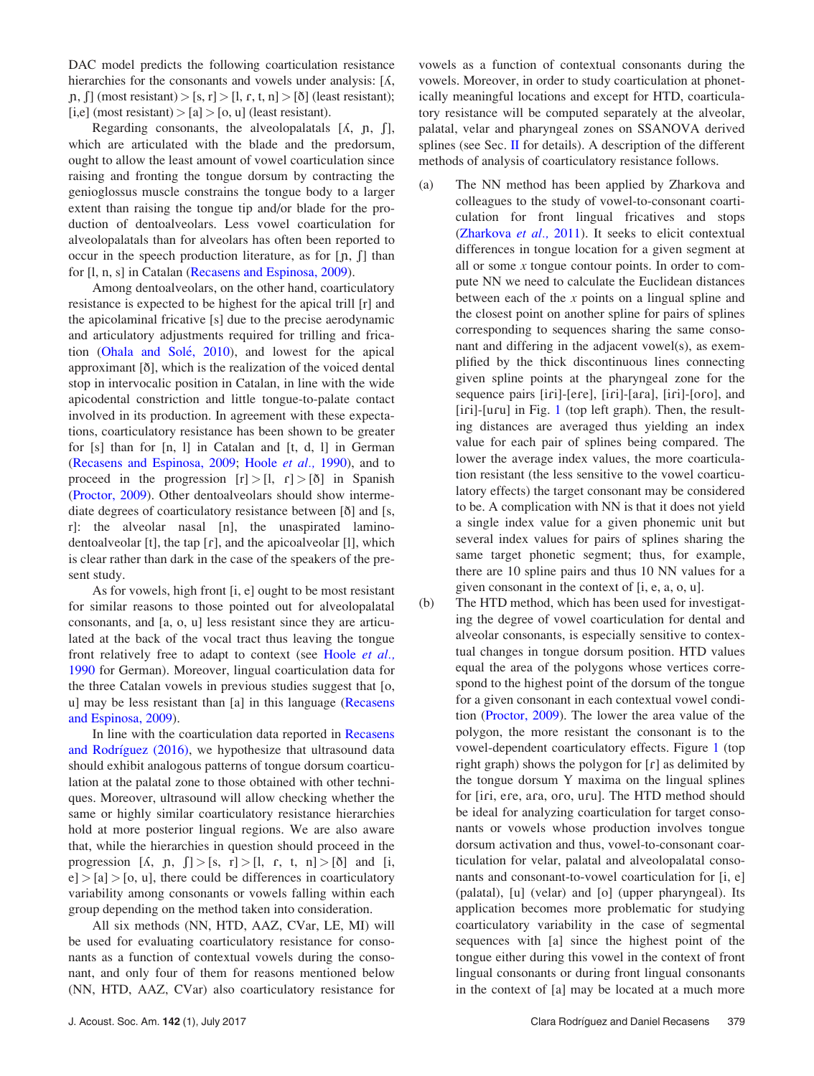DAC model predicts the following coarticulation resistance hierarchies for the consonants and vowels under analysis:  $[*A*,$ n,  $\lceil \ln \ln \left( \frac{\text{most}}{\text{resistant}} \right) \rceil$  =  $\lceil \ln \ln \left( \ln \ln \left( \frac{\text{m}}{\text{cosistant}} \right) \rceil \right)$  (least resistant);  $[i,e]$  (most resistant) >  $[a]$  >  $[o, u]$  (least resistant).

Regarding consonants, the alveolopalatals  $[*A*, *p*, *f*],$ which are articulated with the blade and the predorsum, ought to allow the least amount of vowel coarticulation since raising and fronting the tongue dorsum by contracting the genioglossus muscle constrains the tongue body to a larger extent than raising the tongue tip and/or blade for the production of dentoalveolars. Less vowel coarticulation for alveolopalatals than for alveolars has often been reported to occur in the speech production literature, as for  $[p, \int]$  than for [l, n, s] in Catalan [\(Recasens and Espinosa, 2009](#page-10-0)).

Among dentoalveolars, on the other hand, coarticulatory resistance is expected to be highest for the apical trill [r] and the apicolaminal fricative [s] due to the precise aerodynamic and articulatory adjustments required for trilling and frica-tion [\(Ohala and Sol](#page-10-0)é[, 2010\)](#page-10-0), and lowest for the apical approximant [ð], which is the realization of the voiced dental stop in intervocalic position in Catalan, in line with the wide apicodental constriction and little tongue-to-palate contact involved in its production. In agreement with these expectations, coarticulatory resistance has been shown to be greater for [s] than for [n, l] in Catalan and [t, d, l] in German ([Recasens and Espinosa, 2009](#page-10-0); [Hoole](#page-10-0) et al., 1990), and to proceed in the progression  $[r] > [l, r] > [\delta]$  in Spanish ([Proctor, 2009](#page-10-0)). Other dentoalveolars should show intermediate degrees of coarticulatory resistance between [ð] and [s, r]: the alveolar nasal [n], the unaspirated laminodentoalveolar [t], the tap  $[r]$ , and the apicoalveolar [1], which is clear rather than dark in the case of the speakers of the present study.

As for vowels, high front [i, e] ought to be most resistant for similar reasons to those pointed out for alveolopalatal consonants, and [a, o, u] less resistant since they are articulated at the back of the vocal tract thus leaving the tongue front relatively free to adapt to context (see Hoole [et al.,](#page-10-0) [1990](#page-10-0) for German). Moreover, lingual coarticulation data for the three Catalan vowels in previous studies suggest that [o, u] may be less resistant than [a] in this language ([Recasens](#page-10-0) [and Espinosa, 2009\)](#page-10-0).

In line with the coarticulation data reported in [Recasens](#page-10-0) [and Rodr](#page-10-0)í[guez \(2016\),](#page-10-0) we hypothesize that ultrasound data should exhibit analogous patterns of tongue dorsum coarticulation at the palatal zone to those obtained with other techniques. Moreover, ultrasound will allow checking whether the same or highly similar coarticulatory resistance hierarchies hold at more posterior lingual regions. We are also aware that, while the hierarchies in question should proceed in the progression  $[A, p, \int] > [s, r] > [l, r, t, n] > [\delta]$  and [i,  $e$   $>$  [a]  $>$  [o, u], there could be differences in coarticulatory variability among consonants or vowels falling within each group depending on the method taken into consideration.

All six methods (NN, HTD, AAZ, CVar, LE, MI) will be used for evaluating coarticulatory resistance for consonants as a function of contextual vowels during the consonant, and only four of them for reasons mentioned below (NN, HTD, AAZ, CVar) also coarticulatory resistance for vowels as a function of contextual consonants during the vowels. Moreover, in order to study coarticulation at phonetically meaningful locations and except for HTD, coarticulatory resistance will be computed separately at the alveolar, palatal, velar and pharyngeal zones on SSANOVA derived splines (see Sec. [II](#page-3-0) for details). A description of the different methods of analysis of coarticulatory resistance follows.

- (a) The NN method has been applied by Zharkova and colleagues to the study of vowel-to-consonant coarticulation for front lingual fricatives and stops [\(Zharkova](#page-10-0) et al., 2011). It seeks to elicit contextual differences in tongue location for a given segment at all or some  $x$  tongue contour points. In order to compute NN we need to calculate the Euclidean distances between each of the  $x$  points on a lingual spline and the closest point on another spline for pairs of splines corresponding to sequences sharing the same consonant and differing in the adjacent vowel(s), as exemplified by the thick discontinuous lines connecting given spline points at the pharyngeal zone for the sequence pairs [iri]-[ere], [iri]-[ara], [iri]-[oro], and  $[$ iri]- $[$ uru] in Fig. [1](#page-2-0) (top left graph). Then, the resulting distances are averaged thus yielding an index value for each pair of splines being compared. The lower the average index values, the more coarticulation resistant (the less sensitive to the vowel coarticulatory effects) the target consonant may be considered to be. A complication with NN is that it does not yield a single index value for a given phonemic unit but several index values for pairs of splines sharing the same target phonetic segment; thus, for example, there are 10 spline pairs and thus 10 NN values for a given consonant in the context of [i, e, a, o, u].
- (b) The HTD method, which has been used for investigating the degree of vowel coarticulation for dental and alveolar consonants, is especially sensitive to contextual changes in tongue dorsum position. HTD values equal the area of the polygons whose vertices correspond to the highest point of the dorsum of the tongue for a given consonant in each contextual vowel condition [\(Proctor, 2009\)](#page-10-0). The lower the area value of the polygon, the more resistant the consonant is to the vowel-dependent coarticulatory effects. Figure [1](#page-2-0) (top right graph) shows the polygon for  $[r]$  as delimited by the tongue dorsum Y maxima on the lingual splines for [iri, ere, ara, oro, uru]. The HTD method should be ideal for analyzing coarticulation for target consonants or vowels whose production involves tongue dorsum activation and thus, vowel-to-consonant coarticulation for velar, palatal and alveolopalatal consonants and consonant-to-vowel coarticulation for [i, e] (palatal), [u] (velar) and [o] (upper pharyngeal). Its application becomes more problematic for studying coarticulatory variability in the case of segmental sequences with [a] since the highest point of the tongue either during this vowel in the context of front lingual consonants or during front lingual consonants in the context of [a] may be located at a much more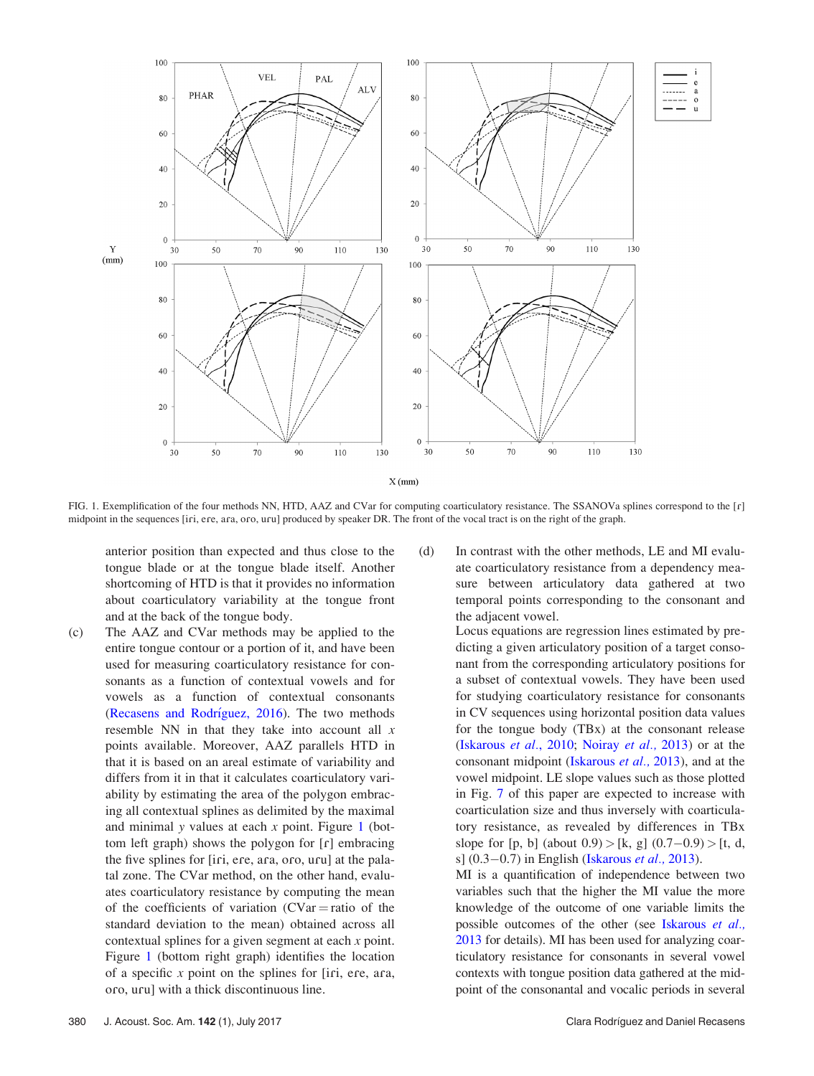<span id="page-2-0"></span>

FIG. 1. Exemplification of the four methods NN, HTD, AAZ and CVar for computing coarticulatory resistance. The SSANOVa splines correspond to the [r] midpoint in the sequences [iri, ere, ara, oro, uru] produced by speaker DR. The front of the vocal tract is on the right of the graph.

anterior position than expected and thus close to the tongue blade or at the tongue blade itself. Another shortcoming of HTD is that it provides no information about coarticulatory variability at the tongue front and at the back of the tongue body.

- (c) The AAZ and CVar methods may be applied to the entire tongue contour or a portion of it, and have been used for measuring coarticulatory resistance for consonants as a function of contextual vowels and for vowels as a function of contextual consonants ([Recasens and Rodr](#page-10-0)í[guez, 2016\)](#page-10-0). The two methods resemble NN in that they take into account all  $x$ points available. Moreover, AAZ parallels HTD in that it is based on an areal estimate of variability and differs from it in that it calculates coarticulatory variability by estimating the area of the polygon embracing all contextual splines as delimited by the maximal and minimal y values at each  $x$  point. Figure 1 (bottom left graph) shows the polygon for  $[r]$  embracing the five splines for [iri, ere, ara, oro, uru] at the palatal zone. The CVar method, on the other hand, evaluates coarticulatory resistance by computing the mean of the coefficients of variation  $(CVar = ratio \text{ of the})$ standard deviation to the mean) obtained across all contextual splines for a given segment at each x point. Figure 1 (bottom right graph) identifies the location of a specific  $x$  point on the splines for [iri, ere, ara, oro, uru] with a thick discontinuous line.
- (d) In contrast with the other methods, LE and MI evaluate coarticulatory resistance from a dependency measure between articulatory data gathered at two temporal points corresponding to the consonant and the adjacent vowel.

Locus equations are regression lines estimated by predicting a given articulatory position of a target consonant from the corresponding articulatory positions for a subset of contextual vowels. They have been used for studying coarticulatory resistance for consonants in CV sequences using horizontal position data values for the tongue body (TBx) at the consonant release [\(Iskarous](#page-10-0) et al., 2010; [Noiray](#page-10-0) et al., 2013) or at the consonant midpoint ([Iskarous](#page-10-0) et al., 2013), and at the vowel midpoint. LE slope values such as those plotted in Fig. [7](#page-9-0) of this paper are expected to increase with coarticulation size and thus inversely with coarticulatory resistance, as revealed by differences in TBx slope for  $[p, b]$  (about  $0.9$ ) >  $[k, g]$   $(0.7 - 0.9)$  >  $[t, d,$ s] (0.3–0.7) in English [\(Iskarous](#page-10-0) et al., 2013).

MI is a quantification of independence between two variables such that the higher the MI value the more knowledge of the outcome of one variable limits the possible outcomes of the other (see [Iskarous](#page-10-0) et al., [2013](#page-10-0) for details). MI has been used for analyzing coarticulatory resistance for consonants in several vowel contexts with tongue position data gathered at the midpoint of the consonantal and vocalic periods in several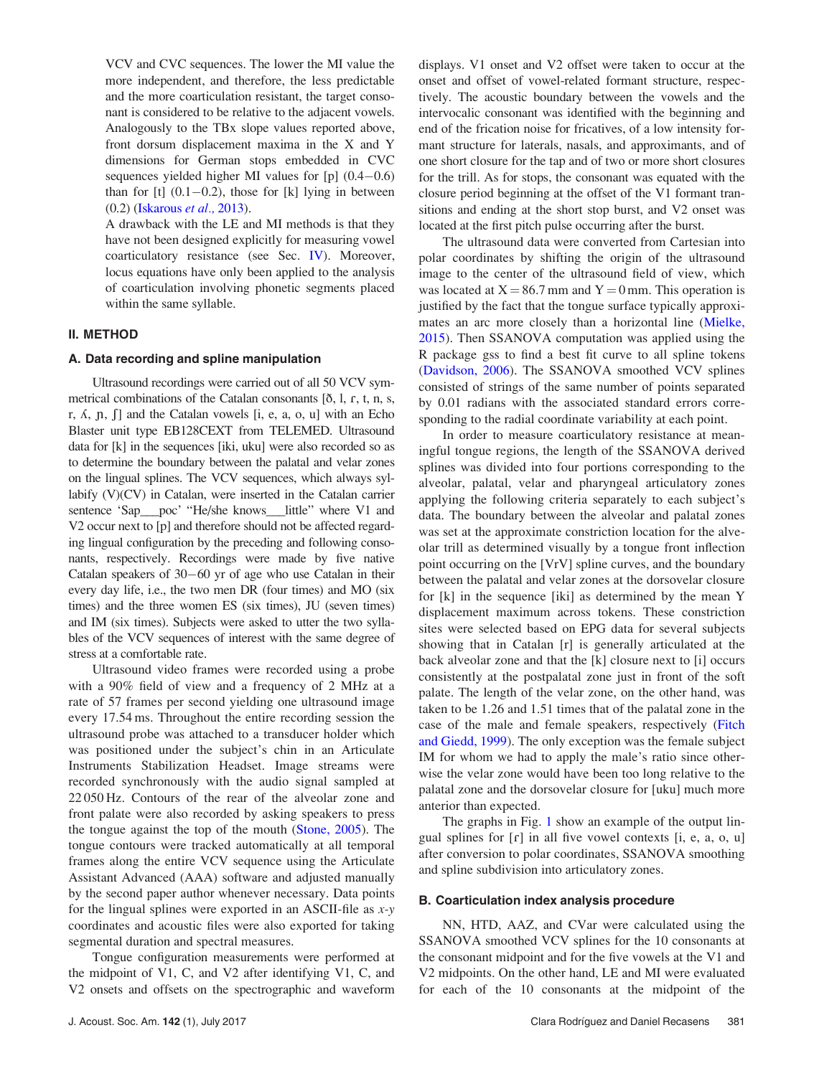<span id="page-3-0"></span>VCV and CVC sequences. The lower the MI value the more independent, and therefore, the less predictable and the more coarticulation resistant, the target consonant is considered to be relative to the adjacent vowels. Analogously to the TBx slope values reported above, front dorsum displacement maxima in the X and Y dimensions for German stops embedded in CVC sequences yielded higher MI values for [p] (0.4-0.6) than for  $[t]$   $(0.1-0.2)$ , those for  $[k]$  lying in between (0.2) ([Iskarous](#page-10-0) et al., 2013).

A drawback with the LE and MI methods is that they have not been designed explicitly for measuring vowel coarticulatory resistance (see Sec. [IV](#page-8-0)). Moreover, locus equations have only been applied to the analysis of coarticulation involving phonetic segments placed within the same syllable.

# II. METHOD

#### A. Data recording and spline manipulation

Ultrasound recordings were carried out of all 50 VCV symmetrical combinations of the Catalan consonants  $[ $\delta$ , 1, r, t, n, s,$ r,  $\Lambda$ ,  $\eta$ ,  $\eta$  and the Catalan vowels  $[i, e, a, o, u]$  with an Echo Blaster unit type EB128CEXT from TELEMED. Ultrasound data for [k] in the sequences [iki, uku] were also recorded so as to determine the boundary between the palatal and velar zones on the lingual splines. The VCV sequences, which always syllabify (V)(CV) in Catalan, were inserted in the Catalan carrier sentence 'Sap\_\_poc' "He/she knows\_\_little" where V1 and V2 occur next to [p] and therefore should not be affected regarding lingual configuration by the preceding and following consonants, respectively. Recordings were made by five native Catalan speakers of 30-60 yr of age who use Catalan in their every day life, i.e., the two men DR (four times) and MO (six times) and the three women ES (six times), JU (seven times) and IM (six times). Subjects were asked to utter the two syllables of the VCV sequences of interest with the same degree of stress at a comfortable rate.

Ultrasound video frames were recorded using a probe with a 90% field of view and a frequency of 2 MHz at a rate of 57 frames per second yielding one ultrasound image every 17.54 ms. Throughout the entire recording session the ultrasound probe was attached to a transducer holder which was positioned under the subject's chin in an Articulate Instruments Stabilization Headset. Image streams were recorded synchronously with the audio signal sampled at 22 050 Hz. Contours of the rear of the alveolar zone and front palate were also recorded by asking speakers to press the tongue against the top of the mouth ([Stone, 2005\)](#page-10-0). The tongue contours were tracked automatically at all temporal frames along the entire VCV sequence using the Articulate Assistant Advanced (AAA) software and adjusted manually by the second paper author whenever necessary. Data points for the lingual splines were exported in an ASCII-file as  $x-y$ coordinates and acoustic files were also exported for taking segmental duration and spectral measures.

Tongue configuration measurements were performed at the midpoint of V1, C, and V2 after identifying V1, C, and V2 onsets and offsets on the spectrographic and waveform displays. V1 onset and V2 offset were taken to occur at the onset and offset of vowel-related formant structure, respectively. The acoustic boundary between the vowels and the intervocalic consonant was identified with the beginning and end of the frication noise for fricatives, of a low intensity formant structure for laterals, nasals, and approximants, and of one short closure for the tap and of two or more short closures for the trill. As for stops, the consonant was equated with the closure period beginning at the offset of the V1 formant transitions and ending at the short stop burst, and V2 onset was located at the first pitch pulse occurring after the burst.

The ultrasound data were converted from Cartesian into polar coordinates by shifting the origin of the ultrasound image to the center of the ultrasound field of view, which was located at  $X = 86.7$  mm and  $Y = 0$  mm. This operation is justified by the fact that the tongue surface typically approximates an arc more closely than a horizontal line ([Mielke,](#page-10-0) [2015](#page-10-0)). Then SSANOVA computation was applied using the R package gss to find a best fit curve to all spline tokens [\(Davidson, 2006](#page-10-0)). The SSANOVA smoothed VCV splines consisted of strings of the same number of points separated by 0.01 radians with the associated standard errors corresponding to the radial coordinate variability at each point.

In order to measure coarticulatory resistance at meaningful tongue regions, the length of the SSANOVA derived splines was divided into four portions corresponding to the alveolar, palatal, velar and pharyngeal articulatory zones applying the following criteria separately to each subject's data. The boundary between the alveolar and palatal zones was set at the approximate constriction location for the alveolar trill as determined visually by a tongue front inflection point occurring on the [VrV] spline curves, and the boundary between the palatal and velar zones at the dorsovelar closure for [k] in the sequence [iki] as determined by the mean Y displacement maximum across tokens. These constriction sites were selected based on EPG data for several subjects showing that in Catalan [r] is generally articulated at the back alveolar zone and that the [k] closure next to [i] occurs consistently at the postpalatal zone just in front of the soft palate. The length of the velar zone, on the other hand, was taken to be 1.26 and 1.51 times that of the palatal zone in the case of the male and female speakers, respectively ([Fitch](#page-10-0) [and Giedd, 1999](#page-10-0)). The only exception was the female subject IM for whom we had to apply the male's ratio since otherwise the velar zone would have been too long relative to the palatal zone and the dorsovelar closure for [uku] much more anterior than expected.

The graphs in Fig. [1](#page-2-0) show an example of the output lingual splines for  $\lceil \cdot \rceil$  in all five vowel contexts  $\lceil i, e, a, o, u \rceil$ after conversion to polar coordinates, SSANOVA smoothing and spline subdivision into articulatory zones.

#### B. Coarticulation index analysis procedure

NN, HTD, AAZ, and CVar were calculated using the SSANOVA smoothed VCV splines for the 10 consonants at the consonant midpoint and for the five vowels at the V1 and V2 midpoints. On the other hand, LE and MI were evaluated for each of the 10 consonants at the midpoint of the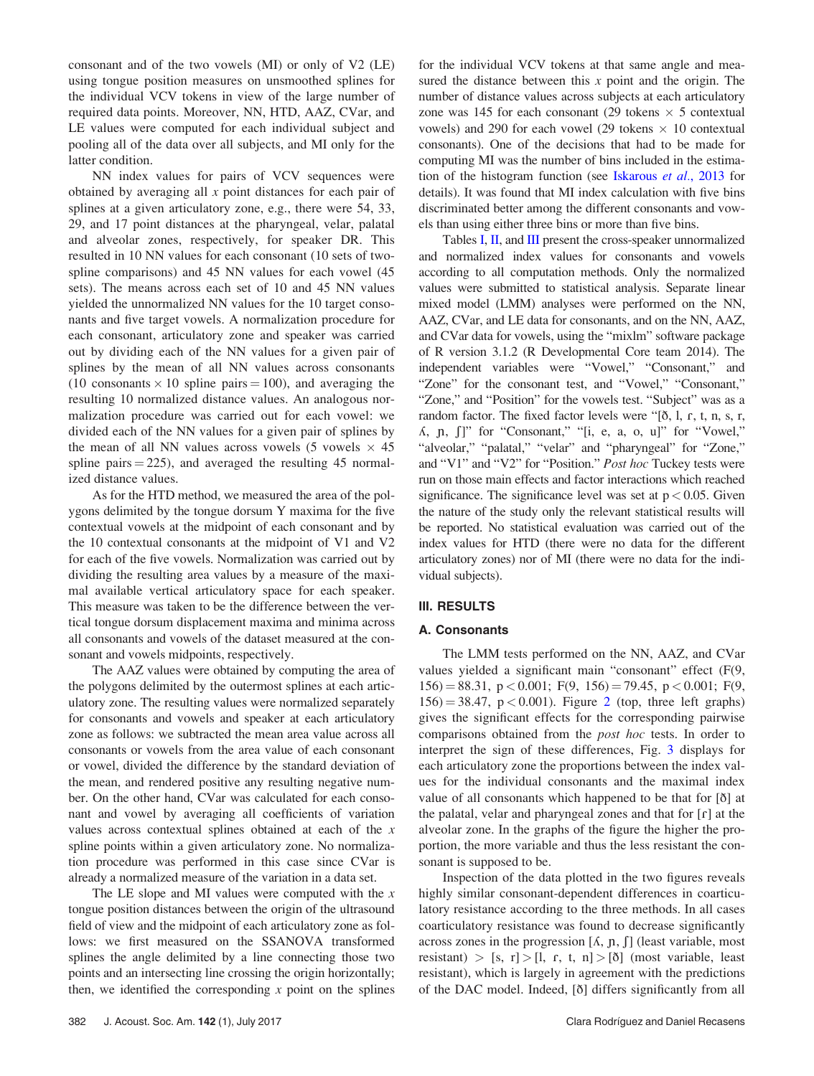consonant and of the two vowels (MI) or only of V2 (LE) using tongue position measures on unsmoothed splines for the individual VCV tokens in view of the large number of required data points. Moreover, NN, HTD, AAZ, CVar, and LE values were computed for each individual subject and pooling all of the data over all subjects, and MI only for the latter condition.

NN index values for pairs of VCV sequences were obtained by averaging all x point distances for each pair of splines at a given articulatory zone, e.g., there were 54, 33, 29, and 17 point distances at the pharyngeal, velar, palatal and alveolar zones, respectively, for speaker DR. This resulted in 10 NN values for each consonant (10 sets of twospline comparisons) and 45 NN values for each vowel (45 sets). The means across each set of 10 and 45 NN values yielded the unnormalized NN values for the 10 target consonants and five target vowels. A normalization procedure for each consonant, articulatory zone and speaker was carried out by dividing each of the NN values for a given pair of splines by the mean of all NN values across consonants (10 consonants  $\times$  10 spline pairs = 100), and averaging the resulting 10 normalized distance values. An analogous normalization procedure was carried out for each vowel: we divided each of the NN values for a given pair of splines by the mean of all NN values across vowels (5 vowels  $\times$  45 spline pairs  $= 225$ , and averaged the resulting 45 normalized distance values.

As for the HTD method, we measured the area of the polygons delimited by the tongue dorsum Y maxima for the five contextual vowels at the midpoint of each consonant and by the 10 contextual consonants at the midpoint of V1 and V2 for each of the five vowels. Normalization was carried out by dividing the resulting area values by a measure of the maximal available vertical articulatory space for each speaker. This measure was taken to be the difference between the vertical tongue dorsum displacement maxima and minima across all consonants and vowels of the dataset measured at the consonant and vowels midpoints, respectively.

The AAZ values were obtained by computing the area of the polygons delimited by the outermost splines at each articulatory zone. The resulting values were normalized separately for consonants and vowels and speaker at each articulatory zone as follows: we subtracted the mean area value across all consonants or vowels from the area value of each consonant or vowel, divided the difference by the standard deviation of the mean, and rendered positive any resulting negative number. On the other hand, CVar was calculated for each consonant and vowel by averaging all coefficients of variation values across contextual splines obtained at each of the x spline points within a given articulatory zone. No normalization procedure was performed in this case since CVar is already a normalized measure of the variation in a data set.

The LE slope and MI values were computed with the  $x$ tongue position distances between the origin of the ultrasound field of view and the midpoint of each articulatory zone as follows: we first measured on the SSANOVA transformed splines the angle delimited by a line connecting those two points and an intersecting line crossing the origin horizontally; then, we identified the corresponding  $x$  point on the splines for the individual VCV tokens at that same angle and measured the distance between this  $x$  point and the origin. The number of distance values across subjects at each articulatory zone was 145 for each consonant (29 tokens  $\times$  5 contextual vowels) and 290 for each vowel (29 tokens  $\times$  10 contextual consonants). One of the decisions that had to be made for computing MI was the number of bins included in the estimation of the histogram function (see [Iskarous](#page-10-0) et al., 2013 for details). It was found that MI index calculation with five bins discriminated better among the different consonants and vowels than using either three bins or more than five bins.

Tables [I](#page-5-0), [II](#page-5-0), and [III](#page-6-0) present the cross-speaker unnormalized and normalized index values for consonants and vowels according to all computation methods. Only the normalized values were submitted to statistical analysis. Separate linear mixed model (LMM) analyses were performed on the NN, AAZ, CVar, and LE data for consonants, and on the NN, AAZ, and CVar data for vowels, using the "mixlm" software package of R version 3.1.2 (R Developmental Core team 2014). The independent variables were "Vowel," "Consonant," and "Zone" for the consonant test, and "Vowel," "Consonant," "Zone," and "Position" for the vowels test. "Subject" was as a random factor. The fixed factor levels were " $[δ, l, r, t, n, s, r,$  $\Lambda$ ,  $\pi$ ,  $\pi$ ]" for "Consonant," "[i, e, a, o, u]" for "Vowel," "alveolar," "palatal," "velar" and "pharyngeal" for "Zone," and "V1" and "V2" for "Position." Post hoc Tuckey tests were run on those main effects and factor interactions which reached significance. The significance level was set at  $p < 0.05$ . Given the nature of the study only the relevant statistical results will be reported. No statistical evaluation was carried out of the index values for HTD (there were no data for the different articulatory zones) nor of MI (there were no data for the individual subjects).

# III. RESULTS

# A. Consonants

The LMM tests performed on the NN, AAZ, and CVar values yielded a significant main "consonant" effect (F(9,  $156$ ) = 88.31, p < 0.001; F(9, 156) = 79.45, p < 0.001; F(9,  $156$ ) = 38.47, p < 0.001). Figure [2](#page-6-0) (top, three left graphs) gives the significant effects for the corresponding pairwise comparisons obtained from the post hoc tests. In order to interpret the sign of these differences, Fig. [3](#page-6-0) displays for each articulatory zone the proportions between the index values for the individual consonants and the maximal index value of all consonants which happened to be that for [ð] at the palatal, velar and pharyngeal zones and that for  $\lceil \mathbf{r} \rceil$  at the alveolar zone. In the graphs of the figure the higher the proportion, the more variable and thus the less resistant the consonant is supposed to be.

Inspection of the data plotted in the two figures reveals highly similar consonant-dependent differences in coarticulatory resistance according to the three methods. In all cases coarticulatory resistance was found to decrease significantly across zones in the progression  $[A, p, f]$  (least variable, most resistant) > [s, r] > [l, r, t, n] > [ $\delta$ ] (most variable, least resistant), which is largely in agreement with the predictions of the DAC model. Indeed, [ð] differs significantly from all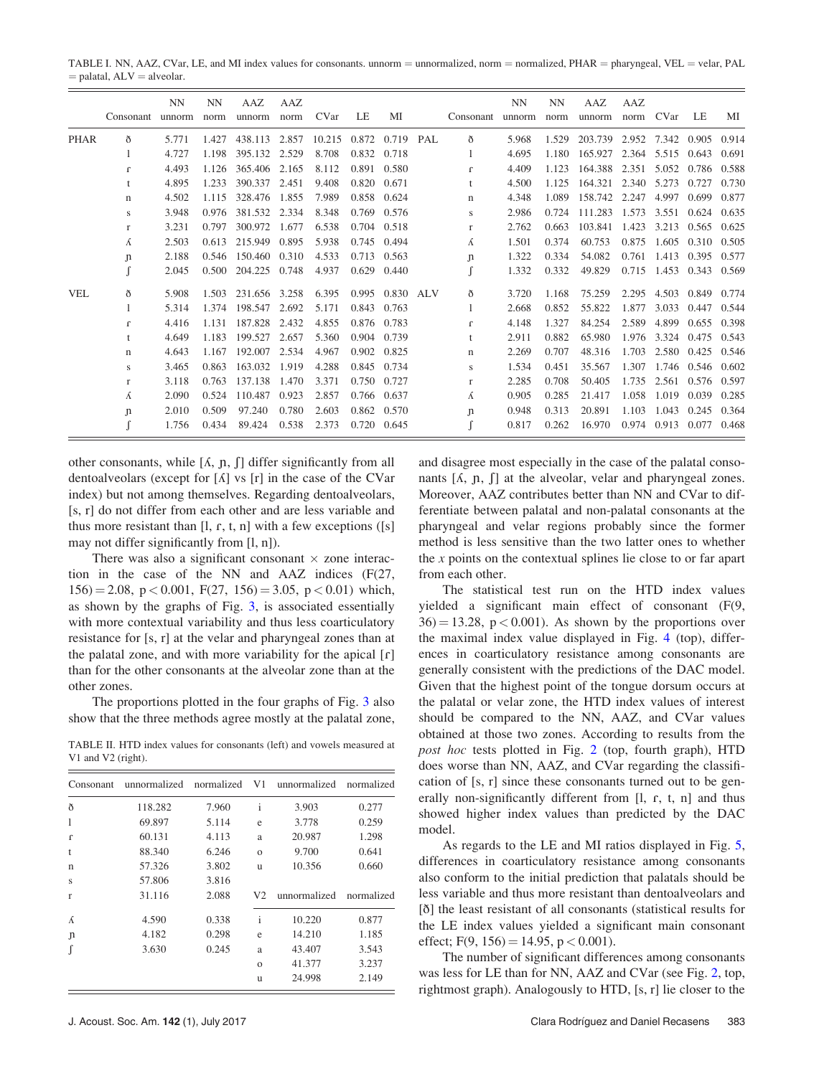<span id="page-5-0"></span>TABLE I. NN, AAZ, CVar, LE, and MI index values for consonants. unnorm = unnormalized, norm = normalized,  $PHAR$  = pharyngeal, VEL = velar, PAL  $=$  palatal,  $ALV =$  alveolar.

|             | Consonant    | NN<br>unnorm | NN<br>norm | AAZ<br>unnorm | AAZ<br>norm | CVar   | LE          | МI        | Consonant    | <b>NN</b><br>unnorm | NN<br>norm | AAZ<br>unnorm | AAZ<br>norm | CVar  | LE    | МI    |
|-------------|--------------|--------------|------------|---------------|-------------|--------|-------------|-----------|--------------|---------------------|------------|---------------|-------------|-------|-------|-------|
| <b>PHAR</b> | ð            | 5.771        | 1.427      | 438.113       | 2.857       | 10.215 | 0.872       | 0.719 PAL | $\delta$     | 5.968               | 1.529      | 203.739       | 2.952       | 7.342 | 0.905 | 0.914 |
|             |              | 4.727        | 1.198      | 395.132       | 2.529       | 8.708  | 0.832       | 0.718     | -1           | 4.695               | 1.180      | 165.927       | 2.364       | 5.515 | 0.643 | 0.691 |
|             | $\mathbf{r}$ | 4.493        | 1.126      | 365.406       | 2.165       | 8.112  | 0.891       | 0.580     | $\Gamma$     | 4.409               | 1.123      | 164.388       | 2.351       | 5.052 | 0.786 | 0.588 |
|             |              | 4.895        | 1.233      | 390.337       | 2.451       | 9.408  | 0.820       | 0.671     | t            | 4.500               | 1.125      | 164.321       | 2.340       | 5.273 | 0.727 | 0.730 |
|             | $\mathbf n$  | 4.502        | 1.115      | 328,476       | 1.855       | 7.989  | 0.858       | 0.624     | $\mathbf n$  | 4.348               | 1.089      | 158.742 2.247 |             | 4.997 | 0.699 | 0.877 |
|             | S            | 3.948        | 0.976      | 381.532       | 2.334       | 8.348  | 0.769       | 0.576     | S            | 2.986               | 0.724      | 111.283       | 1.573       | 3.551 | 0.624 | 0.635 |
|             | $\mathbf{r}$ | 3.231        | 0.797      | 300.972       | 1.677       | 6.538  | 0.704       | 0.518     | r            | 2.762               | 0.663      | 103.841       | 1.423       | 3.213 | 0.565 | 0.625 |
|             | Á            | 2.503        | 0.613      | 215.949       | 0.895       | 5.938  | 0.745       | 0.494     | Á            | 1.501               | 0.374      | 60.753        | 0.875       | 1.605 | 0.310 | 0.505 |
|             | $\mathbf{n}$ | 2.188        | 0.546      | 150.460       | 0.310       | 4.533  | 0.713       | 0.563     | $\mathsf{n}$ | 1.322               | 0.334      | 54.082        | 0.761       | 1.413 | 0.395 | 0.577 |
|             |              | 2.045        | 0.500      | 204.225       | 0.748       | 4.937  | 0.629       | 0.440     |              | 1.332               | 0.332      | 49.829        | 0.715       | 1.453 | 0.343 | 0.569 |
| <b>VEL</b>  | ð            | 5.908        | 1.503      | 231.656 3.258 |             | 6.395  | 0.995       | 0.830 ALV | ð            | 3.720               | 1.168      | 75.259        | 2.295       | 4.503 | 0.849 | 0.774 |
|             |              | 5.314        | 1.374      | 198.547       | 2.692       | 5.171  | 0.843       | 0.763     |              | 2.668               | 0.852      | 55.822        | 1.877       | 3.033 | 0.447 | 0.544 |
|             | $\mathbf{r}$ | 4.416        | 1.131      | 187.828       | 2.432       | 4.855  | 0.876       | 0.783     | $\Gamma$     | 4.148               | 1.327      | 84.254        | 2.589       | 4.899 | 0.655 | 0.398 |
|             |              | 4.649        | 1.183      | 199.527       | 2.657       | 5.360  | 0.904       | 0.739     | t            | 2.911               | 0.882      | 65.980        | 1.976       | 3.324 | 0.475 | 0.543 |
|             | n            | 4.643        | 1.167      | 192.007       | 2.534       | 4.967  | 0.902       | 0.825     | n            | 2.269               | 0.707      | 48.316        | 1.703       | 2.580 | 0.425 | 0.546 |
|             | S            | 3.465        | 0.863      | 163.032       | 1.919       | 4.288  | 0.845       | 0.734     | S            | 1.534               | 0.451      | 35.567        | 1.307       | 1.746 | 0.546 | 0.602 |
|             | $\mathbf{r}$ | 3.118        | 0.763      | 137.138       | 1.470       | 3.371  | 0.750       | 0.727     | r            | 2.285               | 0.708      | 50.405        | 1.735       | 2.561 | 0.576 | 0.597 |
|             | Á            | 2.090        | 0.524      | 110.487       | 0.923       | 2.857  | 0.766       | 0.637     | Á            | 0.905               | 0.285      | 21.417        | 1.058       | 1.019 | 0.039 | 0.285 |
|             | $\mathbf{n}$ | 2.010        | 0.509      | 97.240        | 0.780       | 2.603  | 0.862       | 0.570     | $\mathbf{n}$ | 0.948               | 0.313      | 20.891        | 1.103       | 1.043 | 0.245 | 0.364 |
|             |              | 1.756        | 0.434      | 89.424        | 0.538       | 2.373  | 0.720 0.645 |           |              | 0.817               | 0.262      | 16.970        | 0.974       | 0.913 | 0.077 | 0.468 |

other consonants, while  $[\Lambda, n, \Pi]$  differ significantly from all dentoalveolars (except for  $\lceil \Lambda \rceil$  vs  $\lceil r \rceil$  in the case of the CVar index) but not among themselves. Regarding dentoalveolars, [s, r] do not differ from each other and are less variable and thus more resistant than  $[1, r, t, n]$  with a few exceptions  $([s])$ may not differ significantly from [l, n]).

There was also a significant consonant  $\times$  zone interaction in the case of the NN and AAZ indices (F(27,  $156$ ) = 2.08, p < 0.001, F(27, 156) = 3.05, p < 0.01) which, as shown by the graphs of Fig. [3](#page-6-0), is associated essentially with more contextual variability and thus less coarticulatory resistance for [s, r] at the velar and pharyngeal zones than at the palatal zone, and with more variability for the apical  $[r]$ than for the other consonants at the alveolar zone than at the other zones.

The proportions plotted in the four graphs of Fig. [3](#page-6-0) also show that the three methods agree mostly at the palatal zone,

TABLE II. HTD index values for consonants (left) and vowels measured at V1 and V2 (right).

| Consonant    | unnormalized | normalized | V1             | unnormalized | normalized |
|--------------|--------------|------------|----------------|--------------|------------|
| ð            | 118.282      | 7.960      | $\mathbf{i}$   | 3.903        | 0.277      |
| 1            | 69.897       | 5.114      | e              | 3.778        | 0.259      |
| $\Gamma$     | 60.131       | 4.113      | a              | 20.987       | 1.298      |
| t            | 88.340       | 6.246      | $\Omega$       | 9.700        | 0.641      |
| $\mathbf n$  | 57.326       | 3.802      | u              | 10.356       | 0.660      |
| S            | 57.806       | 3.816      |                |              |            |
| $\mathbf{r}$ | 31.116       | 2.088      | V <sub>2</sub> | unnormalized | normalized |
| K            | 4.590        | 0.338      | $\mathbf{i}$   | 10.220       | 0.877      |
| J)           | 4.182        | 0.298      | e              | 14.210       | 1.185      |
| ſ            | 3.630        | 0.245      | a              | 43.407       | 3.543      |
|              |              |            | $\Omega$       | 41.377       | 3.237      |
|              |              |            | u              | 24.998       | 2.149      |

and disagree most especially in the case of the palatal consonants  $[A, p, f]$  at the alveolar, velar and pharyngeal zones. Moreover, AAZ contributes better than NN and CVar to differentiate between palatal and non-palatal consonants at the pharyngeal and velar regions probably since the former method is less sensitive than the two latter ones to whether the  $x$  points on the contextual splines lie close to or far apart from each other.

The statistical test run on the HTD index values yielded a significant main effect of consonant (F(9,  $36$  = 13.28, p < 0.001). As shown by the proportions over the maximal index value displayed in Fig. [4](#page-7-0) (top), differences in coarticulatory resistance among consonants are generally consistent with the predictions of the DAC model. Given that the highest point of the tongue dorsum occurs at the palatal or velar zone, the HTD index values of interest should be compared to the NN, AAZ, and CVar values obtained at those two zones. According to results from the post hoc tests plotted in Fig. [2](#page-6-0) (top, fourth graph), HTD does worse than NN, AAZ, and CVar regarding the classification of [s, r] since these consonants turned out to be generally non-significantly different from  $[1, r, t, n]$  and thus showed higher index values than predicted by the DAC model.

As regards to the LE and MI ratios displayed in Fig. [5,](#page-7-0) differences in coarticulatory resistance among consonants also conform to the initial prediction that palatals should be less variable and thus more resistant than dentoalveolars and [ð] the least resistant of all consonants (statistical results for the LE index values yielded a significant main consonant effect;  $F(9, 156) = 14.95$ ,  $p < 0.001$ ).

The number of significant differences among consonants was less for LE than for NN, AAZ and CVar (see Fig. [2](#page-6-0), top, rightmost graph). Analogously to HTD, [s, r] lie closer to the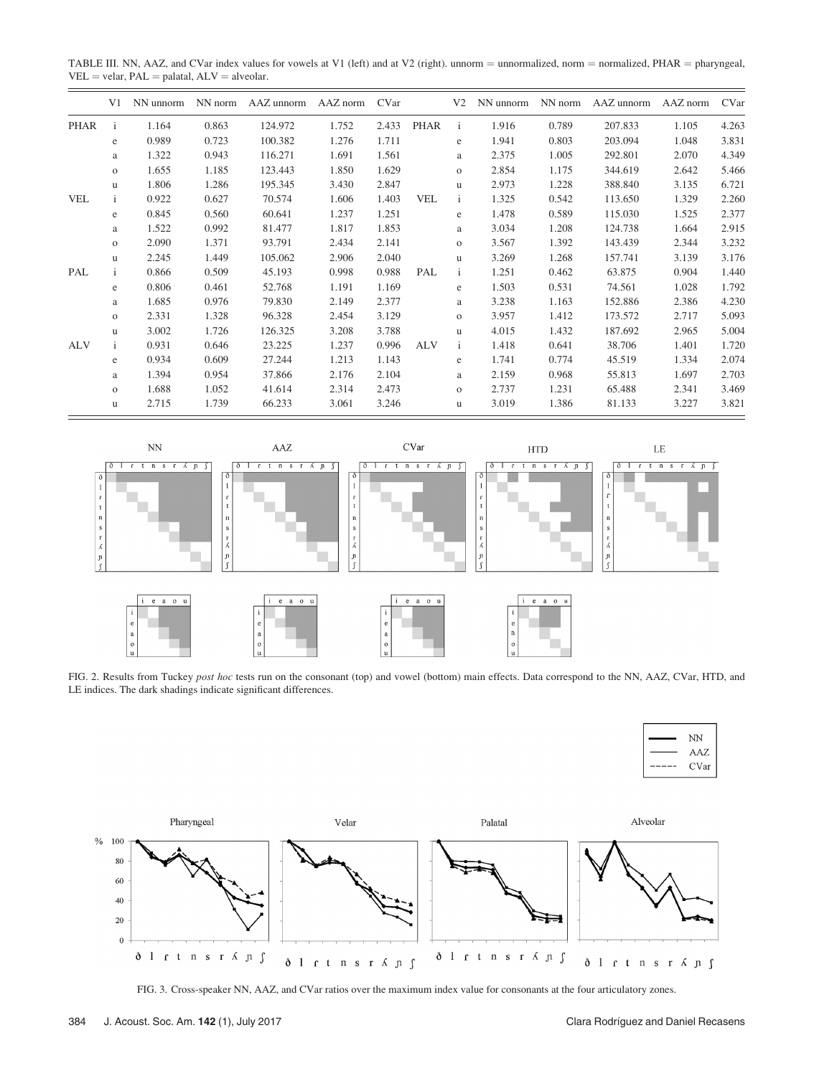<span id="page-6-0"></span>TABLE III. NN, AAZ, and CVar index values for vowels at V1 (left) and at V2 (right). unnorm = unnormalized, norm = normalized, PHAR = pharyngeal,  $VEL = velar, PAL = palatal, ALV = alveolar.$ 

|             | V <sub>1</sub> | NN unnorm | NN norm | AAZ unnorm | AAZ norm | CVar  |            | V <sub>2</sub> | NN unnorm | NN norm | AAZ unnorm | AAZ norm | CVar  |
|-------------|----------------|-----------|---------|------------|----------|-------|------------|----------------|-----------|---------|------------|----------|-------|
| <b>PHAR</b> | $\mathbf{i}$   | 1.164     | 0.863   | 124.972    | 1.752    | 2.433 | PHAR       | $\mathbf{i}$   | 1.916     | 0.789   | 207.833    | 1.105    | 4.263 |
|             | e              | 0.989     | 0.723   | 100.382    | 1.276    | 1.711 |            | e              | 1.941     | 0.803   | 203.094    | 1.048    | 3.831 |
|             | a              | 1.322     | 0.943   | 116.271    | 1.691    | 1.561 |            | a              | 2.375     | 1.005   | 292.801    | 2.070    | 4.349 |
|             | $\mathbf{o}$   | 1.655     | 1.185   | 123.443    | 1.850    | 1.629 |            | $\mathbf{O}$   | 2.854     | 1.175   | 344.619    | 2.642    | 5.466 |
|             | u.             | 1.806     | 1.286   | 195.345    | 3.430    | 2.847 |            | u              | 2.973     | 1.228   | 388.840    | 3.135    | 6.721 |
| <b>VEL</b>  | $\mathbf{i}$   | 0.922     | 0.627   | 70.574     | 1.606    | 1.403 | <b>VEL</b> | $\mathbf{i}$   | 1.325     | 0.542   | 113.650    | 1.329    | 2.260 |
|             | e              | 0.845     | 0.560   | 60.641     | 1.237    | 1.251 |            | e              | 1.478     | 0.589   | 115.030    | 1.525    | 2.377 |
|             | a              | 1.522     | 0.992   | 81.477     | 1.817    | 1.853 |            | a              | 3.034     | 1.208   | 124.738    | 1.664    | 2.915 |
|             | $\mathbf{o}$   | 2.090     | 1.371   | 93.791     | 2.434    | 2.141 |            | $\mathbf{O}$   | 3.567     | 1.392   | 143.439    | 2.344    | 3.232 |
|             | <b>u</b>       | 2.245     | 1.449   | 105.062    | 2.906    | 2.040 |            | u              | 3.269     | 1.268   | 157.741    | 3.139    | 3.176 |
| PAL         | Ť.             | 0.866     | 0.509   | 45.193     | 0.998    | 0.988 | PAL        | Ť.             | 1.251     | 0.462   | 63.875     | 0.904    | 1.440 |
|             | e              | 0.806     | 0.461   | 52.768     | 1.191    | 1.169 |            | e              | 1.503     | 0.531   | 74.561     | 1.028    | 1.792 |
|             | a              | 1.685     | 0.976   | 79.830     | 2.149    | 2.377 |            | a              | 3.238     | 1.163   | 152.886    | 2.386    | 4.230 |
|             | $\mathbf{o}$   | 2.331     | 1.328   | 96.328     | 2.454    | 3.129 |            | $\mathbf{O}$   | 3.957     | 1.412   | 173.572    | 2.717    | 5.093 |
|             | <b>u</b>       | 3.002     | 1.726   | 126.325    | 3.208    | 3.788 |            | u              | 4.015     | 1.432   | 187.692    | 2.965    | 5.004 |
| ALV         | $\mathbf{i}$   | 0.931     | 0.646   | 23.225     | 1.237    | 0.996 | <b>ALV</b> | $\mathbf{i}$   | 1.418     | 0.641   | 38.706     | 1.401    | 1.720 |
|             | e              | 0.934     | 0.609   | 27.244     | 1.213    | 1.143 |            | e              | 1.741     | 0.774   | 45.519     | 1.334    | 2.074 |
|             | a              | 1.394     | 0.954   | 37.866     | 2.176    | 2.104 |            | a              | 2.159     | 0.968   | 55.813     | 1.697    | 2.703 |
|             | $\mathbf{O}$   | 1.688     | 1.052   | 41.614     | 2.314    | 2.473 |            | $\mathbf{O}$   | 2.737     | 1.231   | 65.488     | 2.341    | 3.469 |
|             | u              | 2.715     | 1.739   | 66.233     | 3.061    | 3.246 |            | u              | 3.019     | 1.386   | 81.133     | 3.227    | 3.821 |



FIG. 2. Results from Tuckey post hoc tests run on the consonant (top) and vowel (bottom) main effects. Data correspond to the NN, AAZ, CVar, HTD, and LE indices. The dark shadings indicate significant differences.

| NN   |
|------|
| AAZ  |
| CVar |
|      |



FIG. 3. Cross-speaker NN, AAZ, and CVar ratios over the maximum index value for consonants at the four articulatory zones.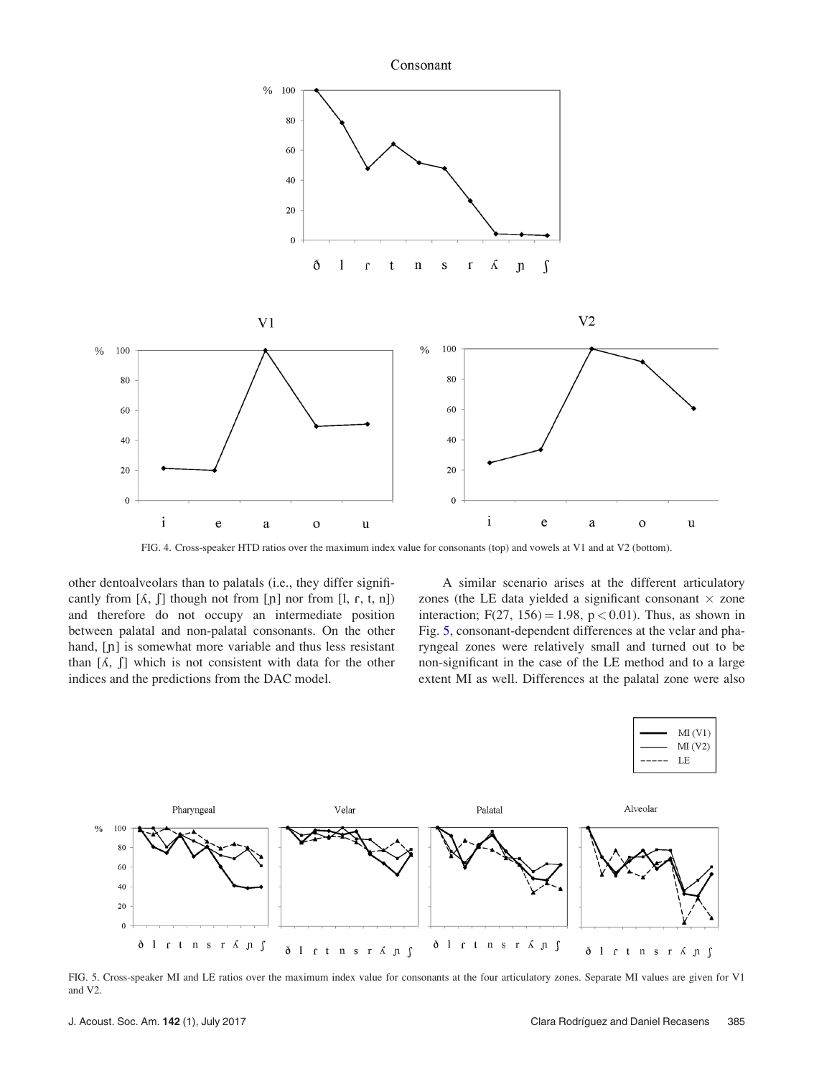<span id="page-7-0"></span>

FIG. 4. Cross-speaker HTD ratios over the maximum index value for consonants (top) and vowels at V1 and at V2 (bottom).

other dentoalveolars than to palatals (i.e., they differ significantly from  $[\Lambda, \int]$  though not from  $[\eta]$  nor from  $[\eta, \eta, t, n]$ ) and therefore do not occupy an intermediate position between palatal and non-palatal consonants. On the other hand, [p] is somewhat more variable and thus less resistant than  $[\Lambda, \Pi]$  which is not consistent with data for the other indices and the predictions from the DAC model.

A similar scenario arises at the different articulatory zones (the LE data yielded a significant consonant  $\times$  zone interaction;  $F(27, 156) = 1.98$ ,  $p < 0.01$ ). Thus, as shown in Fig. 5, consonant-dependent differences at the velar and pharyngeal zones were relatively small and turned out to be non-significant in the case of the LE method and to a large extent MI as well. Differences at the palatal zone were also



FIG. 5. Cross-speaker MI and LE ratios over the maximum index value for consonants at the four articulatory zones. Separate MI values are given for V1 and V2.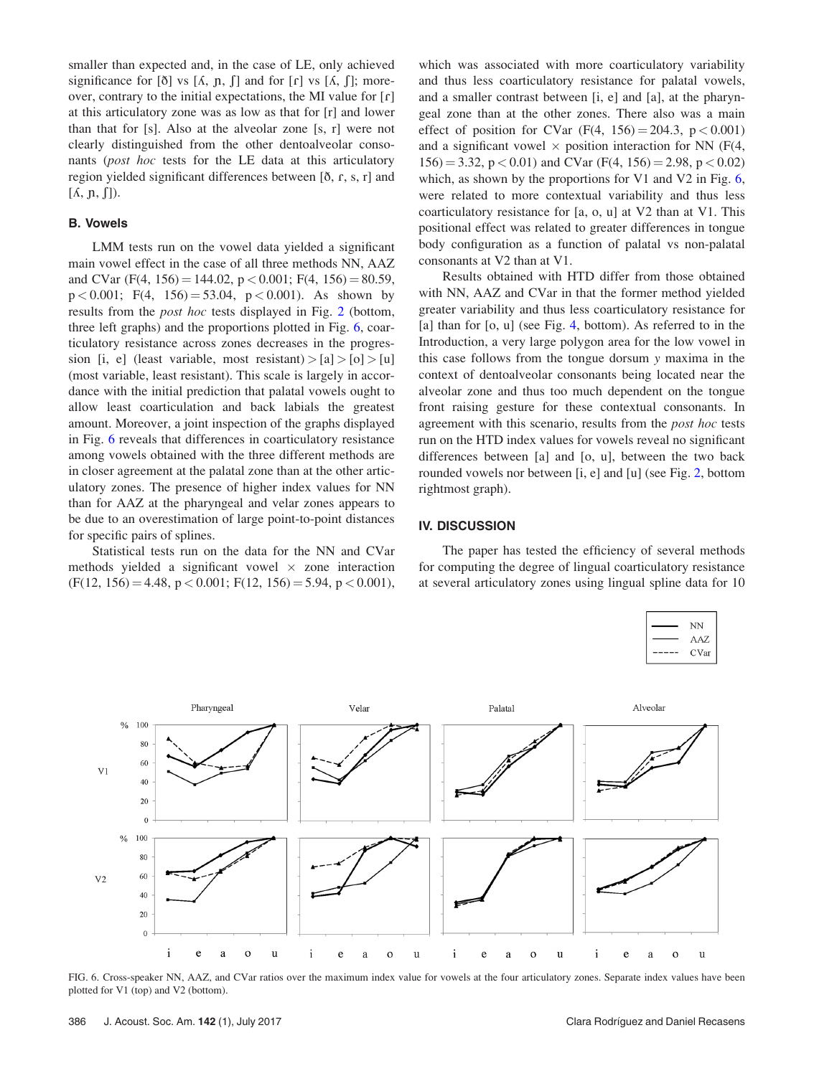<span id="page-8-0"></span>smaller than expected and, in the case of LE, only achieved significance for  $[\delta]$  vs  $[\Lambda, \eta, \int]$  and for  $[\Gamma]$  vs  $[\Lambda, \int]$ ; moreover, contrary to the initial expectations, the MI value for  $\lfloor \frac{\rho}{\epsilon} \rfloor$ at this articulatory zone was as low as that for [r] and lower than that for [s]. Also at the alveolar zone [s, r] were not clearly distinguished from the other dentoalveolar consonants (post hoc tests for the LE data at this articulatory region yielded significant differences between  $[\delta, r, s, r]$  and  $[\Lambda, \eta, \Pi)$ .

# B. Vowels

LMM tests run on the vowel data yielded a significant main vowel effect in the case of all three methods NN, AAZ and CVar (F(4, 156) = 144.02,  $p < 0.001$ ; F(4, 156) = 80.59,  $p < 0.001$ ; F(4, 156) = 53.04,  $p < 0.001$ ). As shown by results from the post hoc tests displayed in Fig. [2](#page-6-0) (bottom, three left graphs) and the proportions plotted in Fig. 6, coarticulatory resistance across zones decreases in the progression [i, e] (least variable, most resistant) >  $[a]$  >  $[o]$  >  $[u]$ (most variable, least resistant). This scale is largely in accordance with the initial prediction that palatal vowels ought to allow least coarticulation and back labials the greatest amount. Moreover, a joint inspection of the graphs displayed in Fig. 6 reveals that differences in coarticulatory resistance among vowels obtained with the three different methods are in closer agreement at the palatal zone than at the other articulatory zones. The presence of higher index values for NN than for AAZ at the pharyngeal and velar zones appears to be due to an overestimation of large point-to-point distances for specific pairs of splines.

Statistical tests run on the data for the NN and CVar methods yielded a significant vowel  $\times$  zone interaction  $(F(12, 156) = 4.48, p < 0.001; F(12, 156) = 5.94, p < 0.001),$  which was associated with more coarticulatory variability and thus less coarticulatory resistance for palatal vowels, and a smaller contrast between [i, e] and [a], at the pharyngeal zone than at the other zones. There also was a main effect of position for CVar  $(F(4, 156) = 204.3, p < 0.001)$ and a significant vowel  $\times$  position interaction for NN (F(4,  $156$ ) = 3.32, p < 0.01) and CVar (F(4, 156) = 2.98, p < 0.02) which, as shown by the proportions for V1 and V2 in Fig. 6, were related to more contextual variability and thus less coarticulatory resistance for [a, o, u] at V2 than at V1. This positional effect was related to greater differences in tongue body configuration as a function of palatal vs non-palatal consonants at V2 than at V1.

Results obtained with HTD differ from those obtained with NN, AAZ and CVar in that the former method yielded greater variability and thus less coarticulatory resistance for [a] than for [o, u] (see Fig. [4,](#page-7-0) bottom). As referred to in the Introduction, a very large polygon area for the low vowel in this case follows from the tongue dorsum y maxima in the context of dentoalveolar consonants being located near the alveolar zone and thus too much dependent on the tongue front raising gesture for these contextual consonants. In agreement with this scenario, results from the *post hoc* tests run on the HTD index values for vowels reveal no significant differences between [a] and [o, u], between the two back rounded vowels nor between [i, e] and [u] (see Fig. [2](#page-6-0), bottom rightmost graph).

#### IV. DISCUSSION

The paper has tested the efficiency of several methods for computing the degree of lingual coarticulatory resistance at several articulatory zones using lingual spline data for 10



FIG. 6. Cross-speaker NN, AAZ, and CVar ratios over the maximum index value for vowels at the four articulatory zones. Separate index values have been plotted for V1 (top) and V2 (bottom).

 $NN$ AAZ CVar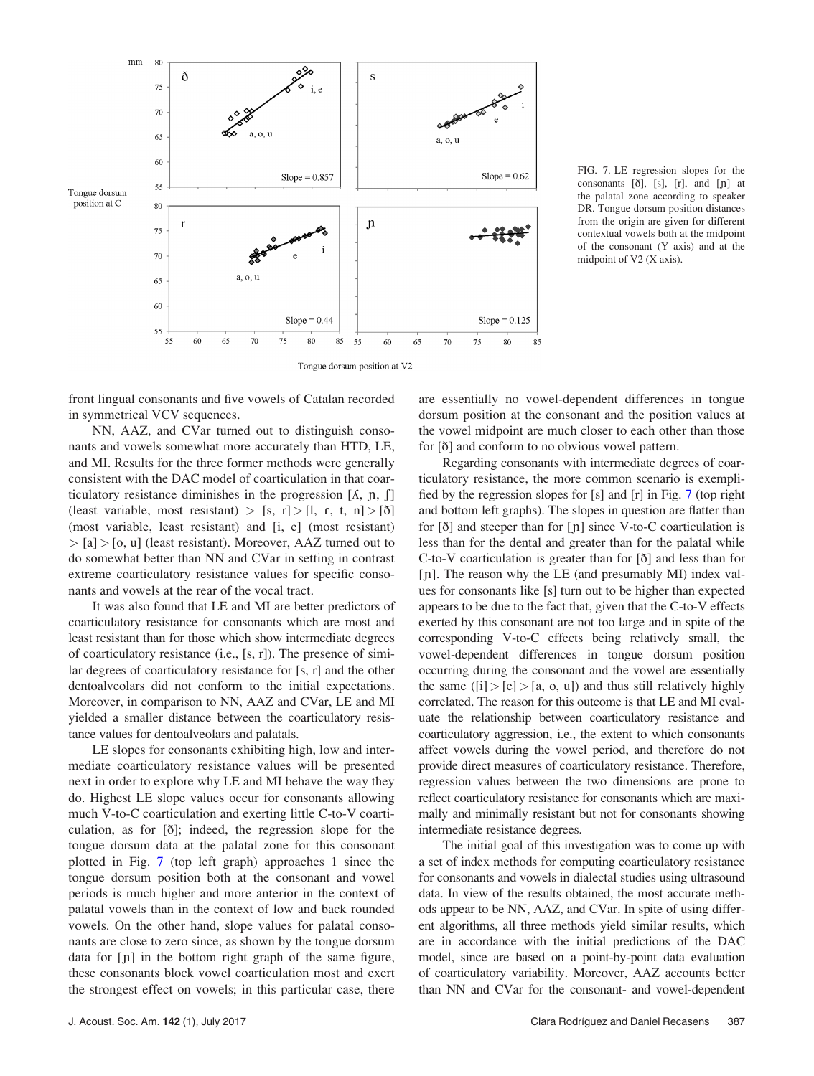<span id="page-9-0"></span>

FIG. 7. LE regression slopes for the consonants  $[\delta]$ ,  $[s]$ ,  $[r]$ , and  $[\n\mathfrak{p}]$  at the palatal zone according to speaker DR. Tongue dorsum position distances from the origin are given for different contextual vowels both at the midpoint of the consonant (Y axis) and at the midpoint of V2 (X axis).

front lingual consonants and five vowels of Catalan recorded in symmetrical VCV sequences.

NN, AAZ, and CVar turned out to distinguish consonants and vowels somewhat more accurately than HTD, LE, and MI. Results for the three former methods were generally consistent with the DAC model of coarticulation in that coarticulatory resistance diminishes in the progression  $[\Lambda, \, \mathsf{n}, \, \mathsf{f}]$ (least variable, most resistant) > [s, r] > [l, r, t, n] > [ $\delta$ ] (most variable, least resistant) and [i, e] (most resistant)  $>$  [a]  $>$  [o, u] (least resistant). Moreover, AAZ turned out to do somewhat better than NN and CVar in setting in contrast extreme coarticulatory resistance values for specific consonants and vowels at the rear of the vocal tract.

It was also found that LE and MI are better predictors of coarticulatory resistance for consonants which are most and least resistant than for those which show intermediate degrees of coarticulatory resistance (i.e., [s, r]). The presence of similar degrees of coarticulatory resistance for [s, r] and the other dentoalveolars did not conform to the initial expectations. Moreover, in comparison to NN, AAZ and CVar, LE and MI yielded a smaller distance between the coarticulatory resistance values for dentoalveolars and palatals.

LE slopes for consonants exhibiting high, low and intermediate coarticulatory resistance values will be presented next in order to explore why LE and MI behave the way they do. Highest LE slope values occur for consonants allowing much V-to-C coarticulation and exerting little C-to-V coarticulation, as for [ð]; indeed, the regression slope for the tongue dorsum data at the palatal zone for this consonant plotted in Fig. 7 (top left graph) approaches 1 since the tongue dorsum position both at the consonant and vowel periods is much higher and more anterior in the context of palatal vowels than in the context of low and back rounded vowels. On the other hand, slope values for palatal consonants are close to zero since, as shown by the tongue dorsum data for  $[n]$  in the bottom right graph of the same figure, these consonants block vowel coarticulation most and exert the strongest effect on vowels; in this particular case, there are essentially no vowel-dependent differences in tongue dorsum position at the consonant and the position values at the vowel midpoint are much closer to each other than those for [ð] and conform to no obvious vowel pattern.

Regarding consonants with intermediate degrees of coarticulatory resistance, the more common scenario is exemplified by the regression slopes for [s] and [r] in Fig. 7 (top right and bottom left graphs). The slopes in question are flatter than for  $\delta$  and steeper than for  $\lceil \eta \rceil$  since V-to-C coarticulation is less than for the dental and greater than for the palatal while C-to-V coarticulation is greater than for [ð] and less than for [n]. The reason why the LE (and presumably MI) index values for consonants like [s] turn out to be higher than expected appears to be due to the fact that, given that the C-to-V effects exerted by this consonant are not too large and in spite of the corresponding V-to-C effects being relatively small, the vowel-dependent differences in tongue dorsum position occurring during the consonant and the vowel are essentially the same  $([i] > [e] > [a, o, u])$  and thus still relatively highly correlated. The reason for this outcome is that LE and MI evaluate the relationship between coarticulatory resistance and coarticulatory aggression, i.e., the extent to which consonants affect vowels during the vowel period, and therefore do not provide direct measures of coarticulatory resistance. Therefore, regression values between the two dimensions are prone to reflect coarticulatory resistance for consonants which are maximally and minimally resistant but not for consonants showing intermediate resistance degrees.

The initial goal of this investigation was to come up with a set of index methods for computing coarticulatory resistance for consonants and vowels in dialectal studies using ultrasound data. In view of the results obtained, the most accurate methods appear to be NN, AAZ, and CVar. In spite of using different algorithms, all three methods yield similar results, which are in accordance with the initial predictions of the DAC model, since are based on a point-by-point data evaluation of coarticulatory variability. Moreover, AAZ accounts better than NN and CVar for the consonant- and vowel-dependent